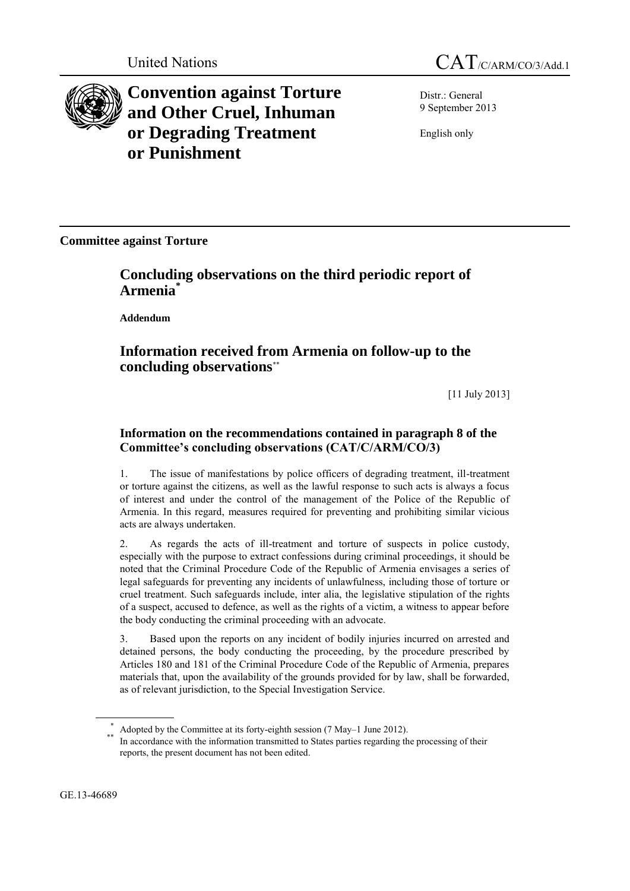

**Convention against Torture and Other Cruel, Inhuman or Degrading Treatment or Punishment**

United Nations CAT<sub>/C/ARM/CO/3/Add.1</sub>

Distr.: General 9 September 2013

English only

**Committee against Torture**

# **Concluding observations on the third periodic report of Armenia\***

**Addendum**

# **Information received from Armenia on follow-up to the concluding observations**\*\*

[11 July 2013]

## **Information on the recommendations contained in paragraph 8 of the Committee's concluding observations (CAT/C/ARM/CO/3)**

1. The issue of manifestations by police officers of degrading treatment, ill-treatment or torture against the citizens, as well as the lawful response to such acts is always a focus of interest and under the control of the management of the Police of the Republic of Armenia. In this regard, measures required for preventing and prohibiting similar vicious acts are always undertaken.

2. As regards the acts of ill-treatment and torture of suspects in police custody, especially with the purpose to extract confessions during criminal proceedings, it should be noted that the Criminal Procedure Code of the Republic of Armenia envisages a series of legal safeguards for preventing any incidents of unlawfulness, including those of torture or cruel treatment. Such safeguards include, inter alia, the legislative stipulation of the rights of a suspect, accused to defence, as well as the rights of a victim, a witness to appear before the body conducting the criminal proceeding with an advocate.

3. Based upon the reports on any incident of bodily injuries incurred on arrested and detained persons, the body conducting the proceeding, by the procedure prescribed by Articles 180 and 181 of the Criminal Procedure Code of the Republic of Armenia, prepares materials that, upon the availability of the grounds provided for by law, shall be forwarded, as of relevant jurisdiction, to the Special Investigation Service.

GE.13-46689

Adopted by the Committee at its forty-eighth session (7 May–1 June 2012).

<sup>\*\*</sup> In accordance with the information transmitted to States parties regarding the processing of their reports, the present document has not been edited.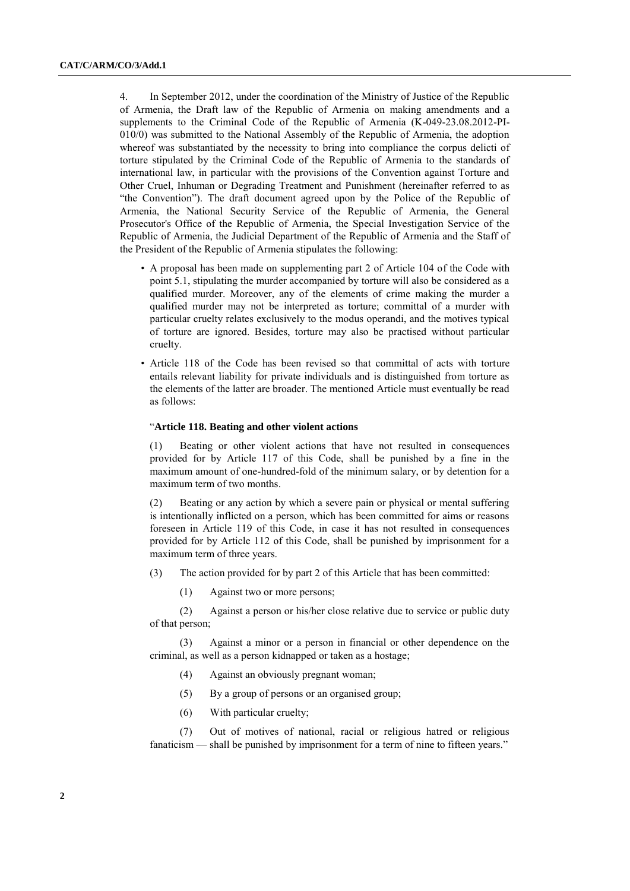4. In September 2012, under the coordination of the Ministry of Justice of the Republic of Armenia, the Draft law of the Republic of Armenia on making amendments and a supplements to the Criminal Code of the Republic of Armenia (K-049-23.08.2012-PI-010/0) was submitted to the National Assembly of the Republic of Armenia, the adoption whereof was substantiated by the necessity to bring into compliance the corpus delicti of torture stipulated by the Criminal Code of the Republic of Armenia to the standards of international law, in particular with the provisions of the Convention against Torture and Other Cruel, Inhuman or Degrading Treatment and Punishment (hereinafter referred to as "the Convention"). The draft document agreed upon by the Police of the Republic of Armenia, the National Security Service of the Republic of Armenia, the General Prosecutor's Office of the Republic of Armenia, the Special Investigation Service of the Republic of Armenia, the Judicial Department of the Republic of Armenia and the Staff of the President of the Republic of Armenia stipulates the following:

- A proposal has been made on supplementing part 2 of Article 104 of the Code with point 5.1, stipulating the murder accompanied by torture will also be considered as a qualified murder. Moreover, any of the elements of crime making the murder a qualified murder may not be interpreted as torture; committal of a murder with particular cruelty relates exclusively to the modus operandi, and the motives typical of torture are ignored. Besides, torture may also be practised without particular cruelty.
- Article 118 of the Code has been revised so that committal of acts with torture entails relevant liability for private individuals and is distinguished from torture as the elements of the latter are broader. The mentioned Article must eventually be read as follows:

#### "**Article 118. Beating and other violent actions**

(1) Beating or other violent actions that have not resulted in consequences provided for by Article 117 of this Code, shall be punished by a fine in the maximum amount of one-hundred-fold of the minimum salary, or by detention for a maximum term of two months.

(2) Beating or any action by which a severe pain or physical or mental suffering is intentionally inflicted on a person, which has been committed for aims or reasons foreseen in Article 119 of this Code, in case it has not resulted in consequences provided for by Article 112 of this Code, shall be punished by imprisonment for a maximum term of three years.

- (3) The action provided for by part 2 of this Article that has been committed:
	- (1) Against two or more persons;

(2) Against a person or his/her close relative due to service or public duty of that person;

(3) Against a minor or a person in financial or other dependence on the criminal, as well as a person kidnapped or taken as a hostage;

- (4) Against an obviously pregnant woman;
- (5) By a group of persons or an organised group;
- (6) With particular cruelty;

(7) Out of motives of national, racial or religious hatred or religious fanaticism — shall be punished by imprisonment for a term of nine to fifteen years."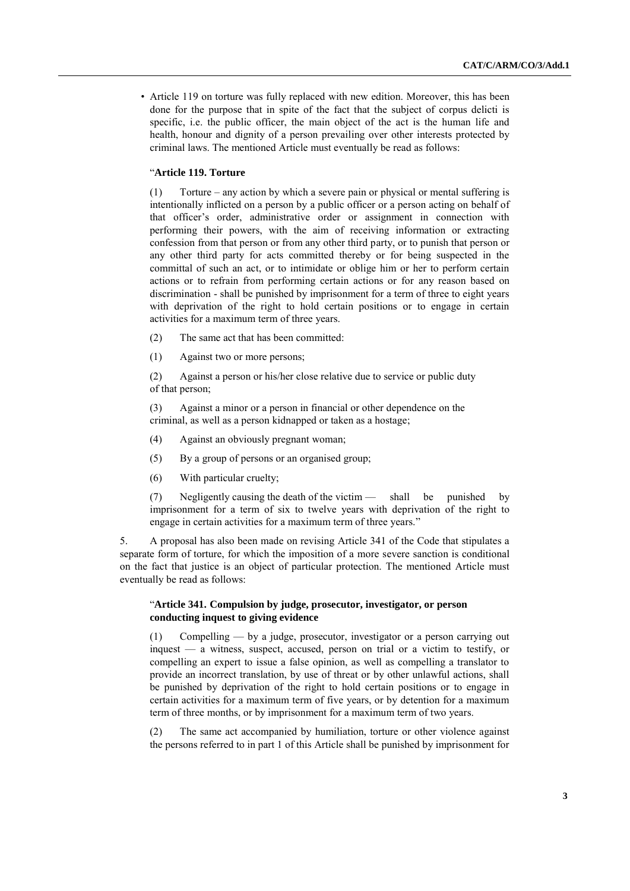• Article 119 on torture was fully replaced with new edition. Moreover, this has been done for the purpose that in spite of the fact that the subject of corpus delicti is specific, i.e. the public officer, the main object of the act is the human life and health, honour and dignity of a person prevailing over other interests protected by criminal laws. The mentioned Article must eventually be read as follows:

#### "**Article 119. Torture**

(1) Torture – any action by which a severe pain or physical or mental suffering is intentionally inflicted on a person by a public officer or a person acting on behalf of that officer's order, administrative order or assignment in connection with performing their powers, with the aim of receiving information or extracting confession from that person or from any other third party, or to punish that person or any other third party for acts committed thereby or for being suspected in the committal of such an act, or to intimidate or oblige him or her to perform certain actions or to refrain from performing certain actions or for any reason based on discrimination - shall be punished by imprisonment for a term of three to eight years with deprivation of the right to hold certain positions or to engage in certain activities for a maximum term of three years.

- (2) The same act that has been committed:
- (1) Against two or more persons;

(2) Against a person or his/her close relative due to service or public duty of that person;

(3) Against a minor or a person in financial or other dependence on the criminal, as well as a person kidnapped or taken as a hostage;

- (4) Against an obviously pregnant woman;
- (5) By a group of persons or an organised group;
- (6) With particular cruelty;

(7) Negligently causing the death of the victim — shall be punished by imprisonment for a term of six to twelve years with deprivation of the right to engage in certain activities for a maximum term of three years."

5. A proposal has also been made on revising Article 341 of the Code that stipulates a separate form of torture, for which the imposition of a more severe sanction is conditional on the fact that justice is an object of particular protection. The mentioned Article must eventually be read as follows:

#### "**Article 341. Compulsion by judge, prosecutor, investigator, or person conducting inquest to giving evidence**

(1) Compelling — by a judge, prosecutor, investigator or a person carrying out inquest — a witness, suspect, accused, person on trial or a victim to testify, or compelling an expert to issue a false opinion, as well as compelling a translator to provide an incorrect translation, by use of threat or by other unlawful actions, shall be punished by deprivation of the right to hold certain positions or to engage in certain activities for a maximum term of five years, or by detention for a maximum term of three months, or by imprisonment for a maximum term of two years.

(2) The same act accompanied by humiliation, torture or other violence against the persons referred to in part 1 of this Article shall be punished by imprisonment for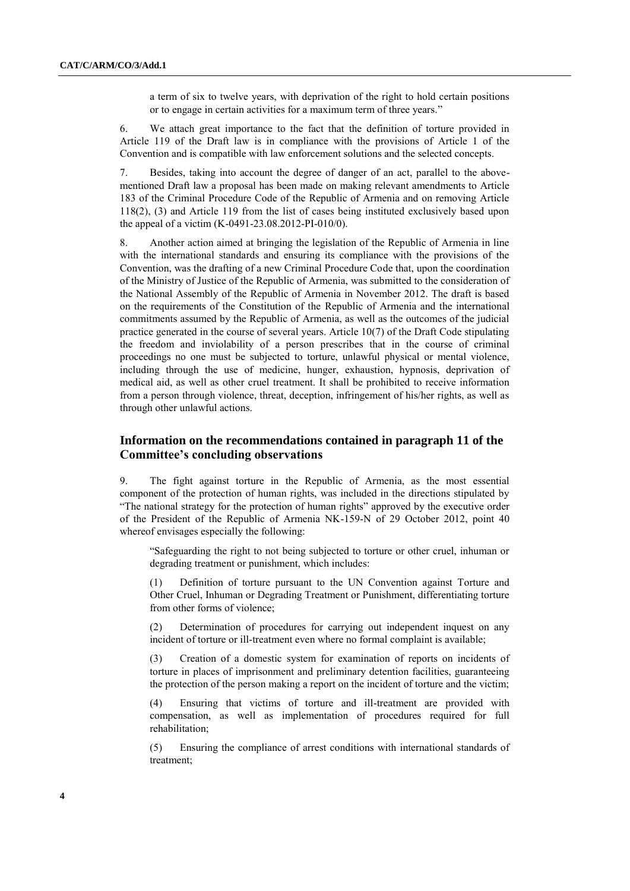a term of six to twelve years, with deprivation of the right to hold certain positions or to engage in certain activities for a maximum term of three years."

6. We attach great importance to the fact that the definition of torture provided in Article 119 of the Draft law is in compliance with the provisions of Article 1 of the Convention and is compatible with law enforcement solutions and the selected concepts.

7. Besides, taking into account the degree of danger of an act, parallel to the abovementioned Draft law a proposal has been made on making relevant amendments to Article 183 of the Criminal Procedure Code of the Republic of Armenia and on removing Article 118(2), (3) and Article 119 from the list of cases being instituted exclusively based upon the appeal of a victim (K-0491-23.08.2012-PI-010/0).

8. Another action aimed at bringing the legislation of the Republic of Armenia in line with the international standards and ensuring its compliance with the provisions of the Convention, was the drafting of a new Criminal Procedure Code that, upon the coordination of the Ministry of Justice of the Republic of Armenia, was submitted to the consideration of the National Assembly of the Republic of Armenia in November 2012. The draft is based on the requirements of the Constitution of the Republic of Armenia and the international commitments assumed by the Republic of Armenia, as well as the outcomes of the judicial practice generated in the course of several years. Article 10(7) of the Draft Code stipulating the freedom and inviolability of a person prescribes that in the course of criminal proceedings no one must be subjected to torture, unlawful physical or mental violence, including through the use of medicine, hunger, exhaustion, hypnosis, deprivation of medical aid, as well as other cruel treatment. It shall be prohibited to receive information from a person through violence, threat, deception, infringement of his/her rights, as well as through other unlawful actions.

### **Information on the recommendations contained in paragraph 11 of the Committee's concluding observations**

9. The fight against torture in the Republic of Armenia, as the most essential component of the protection of human rights, was included in the directions stipulated by "The national strategy for the protection of human rights" approved by the executive order of the President of the Republic of Armenia NK-159-N of 29 October 2012, point 40 whereof envisages especially the following:

"Safeguarding the right to not being subjected to torture or other cruel, inhuman or degrading treatment or punishment, which includes:

(1) Definition of torture pursuant to the UN Convention against Torture and Other Cruel, Inhuman or Degrading Treatment or Punishment, differentiating torture from other forms of violence;

(2) Determination of procedures for carrying out independent inquest on any incident of torture or ill-treatment even where no formal complaint is available;

(3) Creation of a domestic system for examination of reports on incidents of torture in places of imprisonment and preliminary detention facilities, guaranteeing the protection of the person making a report on the incident of torture and the victim;

(4) Ensuring that victims of torture and ill-treatment are provided with compensation, as well as implementation of procedures required for full rehabilitation;

(5) Ensuring the compliance of arrest conditions with international standards of treatment;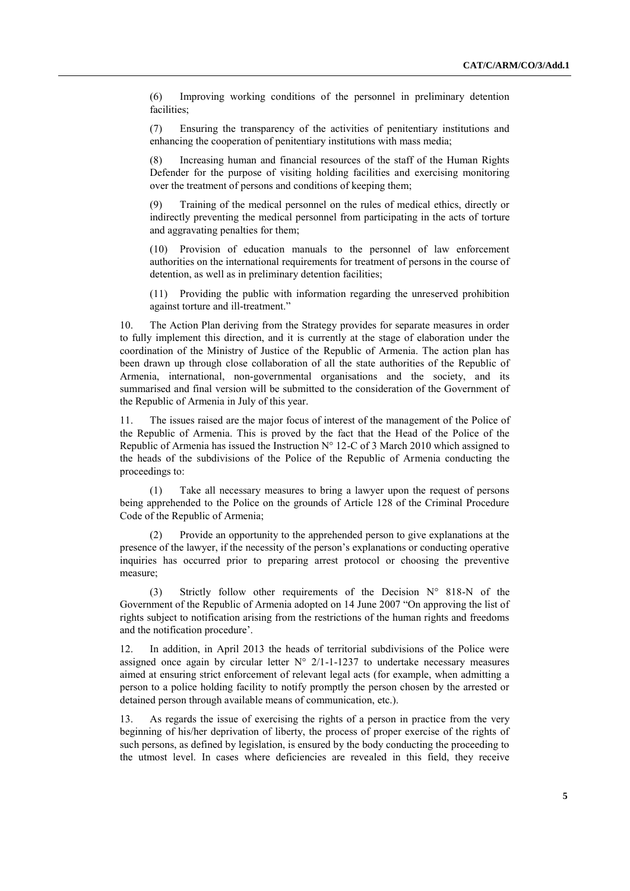(6) Improving working conditions of the personnel in preliminary detention facilities;

(7) Ensuring the transparency of the activities of penitentiary institutions and enhancing the cooperation of penitentiary institutions with mass media;

Increasing human and financial resources of the staff of the Human Rights Defender for the purpose of visiting holding facilities and exercising monitoring over the treatment of persons and conditions of keeping them;

(9) Training of the medical personnel on the rules of medical ethics, directly or indirectly preventing the medical personnel from participating in the acts of torture and aggravating penalties for them;

(10) Provision of education manuals to the personnel of law enforcement authorities on the international requirements for treatment of persons in the course of detention, as well as in preliminary detention facilities;

(11) Providing the public with information regarding the unreserved prohibition against torture and ill-treatment."

10. The Action Plan deriving from the Strategy provides for separate measures in order to fully implement this direction, and it is currently at the stage of elaboration under the coordination of the Ministry of Justice of the Republic of Armenia. The action plan has been drawn up through close collaboration of all the state authorities of the Republic of Armenia, international, non-governmental organisations and the society, and its summarised and final version will be submitted to the consideration of the Government of the Republic of Armenia in July of this year.

11. The issues raised are the major focus of interest of the management of the Police of the Republic of Armenia. This is proved by the fact that the Head of the Police of the Republic of Armenia has issued the Instruction N° 12-C of 3 March 2010 which assigned to the heads of the subdivisions of the Police of the Republic of Armenia conducting the proceedings to:

(1) Take all necessary measures to bring a lawyer upon the request of persons being apprehended to the Police on the grounds of Article 128 of the Criminal Procedure Code of the Republic of Armenia;

(2) Provide an opportunity to the apprehended person to give explanations at the presence of the lawyer, if the necessity of the person's explanations or conducting operative inquiries has occurred prior to preparing arrest protocol or choosing the preventive measure;

(3) Strictly follow other requirements of the Decision N° 818-N of the Government of the Republic of Armenia adopted on 14 June 2007 "On approving the list of rights subject to notification arising from the restrictions of the human rights and freedoms and the notification procedure'.

12. In addition, in April 2013 the heads of territorial subdivisions of the Police were assigned once again by circular letter  $N^{\circ}$  2/1-1-1237 to undertake necessary measures aimed at ensuring strict enforcement of relevant legal acts (for example, when admitting a person to a police holding facility to notify promptly the person chosen by the arrested or detained person through available means of communication, etc.).

13. As regards the issue of exercising the rights of a person in practice from the very beginning of his/her deprivation of liberty, the process of proper exercise of the rights of such persons, as defined by legislation, is ensured by the body conducting the proceeding to the utmost level. In cases where deficiencies are revealed in this field, they receive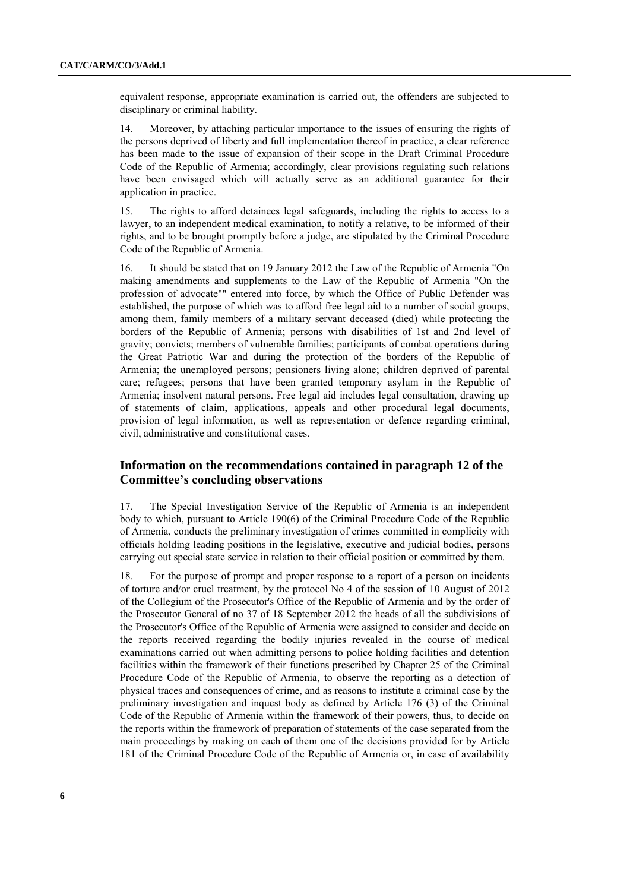equivalent response, appropriate examination is carried out, the offenders are subjected to disciplinary or criminal liability.

14. Moreover, by attaching particular importance to the issues of ensuring the rights of the persons deprived of liberty and full implementation thereof in practice, a clear reference has been made to the issue of expansion of their scope in the Draft Criminal Procedure Code of the Republic of Armenia; accordingly, clear provisions regulating such relations have been envisaged which will actually serve as an additional guarantee for their application in practice.

15. The rights to afford detainees legal safeguards, including the rights to access to a lawyer, to an independent medical examination, to notify a relative, to be informed of their rights, and to be brought promptly before a judge, are stipulated by the Criminal Procedure Code of the Republic of Armenia.

16. It should be stated that on 19 January 2012 the Law of the Republic of Armenia "On making amendments and supplements to the Law of the Republic of Armenia "On the profession of advocate"" entered into force, by which the Office of Public Defender was established, the purpose of which was to afford free legal aid to a number of social groups, among them, family members of a military servant deceased (died) while protecting the borders of the Republic of Armenia; persons with disabilities of 1st and 2nd level of gravity; convicts; members of vulnerable families; participants of combat operations during the Great Patriotic War and during the protection of the borders of the Republic of Armenia; the unemployed persons; pensioners living alone; children deprived of parental care; refugees; persons that have been granted temporary asylum in the Republic of Armenia; insolvent natural persons. Free legal aid includes legal consultation, drawing up of statements of claim, applications, appeals and other procedural legal documents, provision of legal information, as well as representation or defence regarding criminal, civil, administrative and constitutional cases.

### **Information on the recommendations contained in paragraph 12 of the Committee's concluding observations**

17. The Special Investigation Service of the Republic of Armenia is an independent body to which, pursuant to Article 190(6) of the Criminal Procedure Code of the Republic of Armenia, conducts the preliminary investigation of crimes committed in complicity with officials holding leading positions in the legislative, executive and judicial bodies, persons carrying out special state service in relation to their official position or committed by them.

18. For the purpose of prompt and proper response to a report of a person on incidents of torture and/or cruel treatment, by the protocol No 4 of the session of 10 August of 2012 of the Collegium of the Prosecutor's Office of the Republic of Armenia and by the order of the Prosecutor General of no 37 of 18 September 2012 the heads of all the subdivisions of the Prosecutor's Office of the Republic of Armenia were assigned to consider and decide on the reports received regarding the bodily injuries revealed in the course of medical examinations carried out when admitting persons to police holding facilities and detention facilities within the framework of their functions prescribed by Chapter 25 of the Criminal Procedure Code of the Republic of Armenia, to observe the reporting as a detection of physical traces and consequences of crime, and as reasons to institute a criminal case by the preliminary investigation and inquest body as defined by Article 176 (3) of the Criminal Code of the Republic of Armenia within the framework of their powers, thus, to decide on the reports within the framework of preparation of statements of the case separated from the main proceedings by making on each of them one of the decisions provided for by Article 181 of the Criminal Procedure Code of the Republic of Armenia or, in case of availability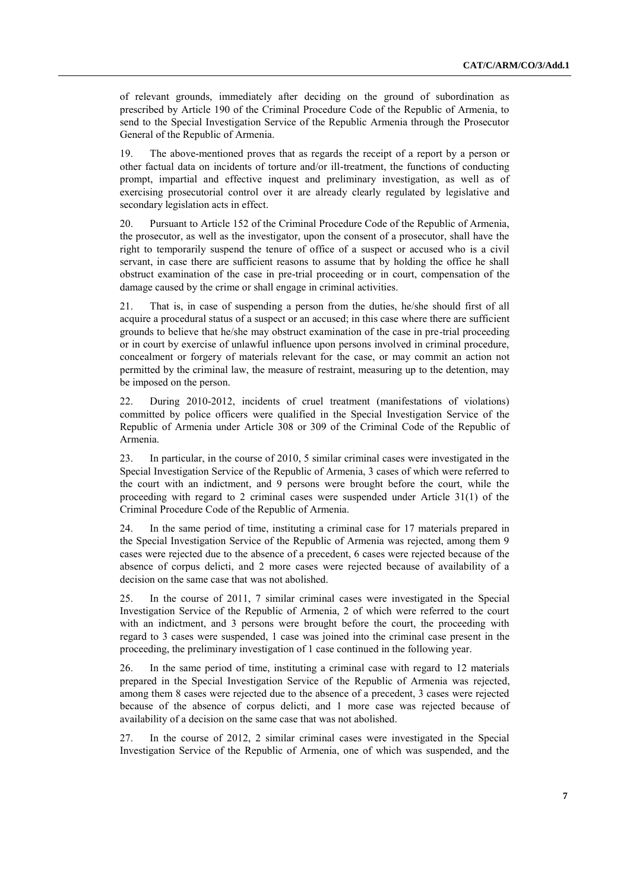of relevant grounds, immediately after deciding on the ground of subordination as prescribed by Article 190 of the Criminal Procedure Code of the Republic of Armenia, to send to the Special Investigation Service of the Republic Armenia through the Prosecutor General of the Republic of Armenia.

19. The above-mentioned proves that as regards the receipt of a report by a person or other factual data on incidents of torture and/or ill-treatment, the functions of conducting prompt, impartial and effective inquest and preliminary investigation, as well as of exercising prosecutorial control over it are already clearly regulated by legislative and secondary legislation acts in effect.

20. Pursuant to Article 152 of the Criminal Procedure Code of the Republic of Armenia, the prosecutor, as well as the investigator, upon the consent of a prosecutor, shall have the right to temporarily suspend the tenure of office of a suspect or accused who is a civil servant, in case there are sufficient reasons to assume that by holding the office he shall obstruct examination of the case in pre-trial proceeding or in court, compensation of the damage caused by the crime or shall engage in criminal activities.

21. That is, in case of suspending a person from the duties, he/she should first of all acquire a procedural status of a suspect or an accused; in this case where there are sufficient grounds to believe that he/she may obstruct examination of the case in pre-trial proceeding or in court by exercise of unlawful influence upon persons involved in criminal procedure, concealment or forgery of materials relevant for the case, or may commit an action not permitted by the criminal law, the measure of restraint, measuring up to the detention, may be imposed on the person.

22. During 2010-2012, incidents of cruel treatment (manifestations of violations) committed by police officers were qualified in the Special Investigation Service of the Republic of Armenia under Article 308 or 309 of the Criminal Code of the Republic of Armenia.

23. In particular, in the course of 2010, 5 similar criminal cases were investigated in the Special Investigation Service of the Republic of Armenia, 3 cases of which were referred to the court with an indictment, and 9 persons were brought before the court, while the proceeding with regard to 2 criminal cases were suspended under Article 31(1) of the Criminal Procedure Code of the Republic of Armenia.

24. In the same period of time, instituting a criminal case for 17 materials prepared in the Special Investigation Service of the Republic of Armenia was rejected, among them 9 cases were rejected due to the absence of a precedent, 6 cases were rejected because of the absence of corpus delicti, and 2 more cases were rejected because of availability of a decision on the same case that was not abolished.

25. In the course of 2011, 7 similar criminal cases were investigated in the Special Investigation Service of the Republic of Armenia, 2 of which were referred to the court with an indictment, and 3 persons were brought before the court, the proceeding with regard to 3 cases were suspended, 1 case was joined into the criminal case present in the proceeding, the preliminary investigation of 1 case continued in the following year.

26. In the same period of time, instituting a criminal case with regard to 12 materials prepared in the Special Investigation Service of the Republic of Armenia was rejected, among them 8 cases were rejected due to the absence of a precedent, 3 cases were rejected because of the absence of corpus delicti, and 1 more case was rejected because of availability of a decision on the same case that was not abolished.

27. In the course of 2012, 2 similar criminal cases were investigated in the Special Investigation Service of the Republic of Armenia, one of which was suspended, and the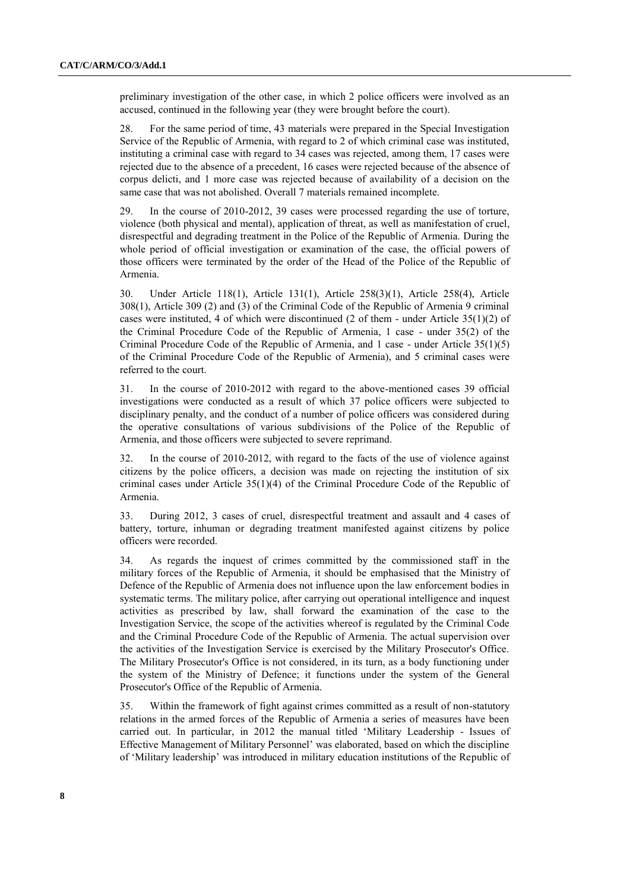preliminary investigation of the other case, in which 2 police officers were involved as an accused, continued in the following year (they were brought before the court).

28. For the same period of time, 43 materials were prepared in the Special Investigation Service of the Republic of Armenia, with regard to 2 of which criminal case was instituted, instituting a criminal case with regard to 34 cases was rejected, among them, 17 cases were rejected due to the absence of a precedent, 16 cases were rejected because of the absence of corpus delicti, and 1 more case was rejected because of availability of a decision on the same case that was not abolished. Overall 7 materials remained incomplete.

29. In the course of 2010-2012, 39 cases were processed regarding the use of torture, violence (both physical and mental), application of threat, as well as manifestation of cruel, disrespectful and degrading treatment in the Police of the Republic of Armenia. During the whole period of official investigation or examination of the case, the official powers of those officers were terminated by the order of the Head of the Police of the Republic of Armenia.

30. Under Article 118(1), Article 131(1), Article 258(3)(1), Article 258(4), Article 308(1), Article 309 (2) and (3) of the Criminal Code of the Republic of Armenia 9 criminal cases were instituted, 4 of which were discontinued (2 of them - under Article 35(1)(2) of the Criminal Procedure Code of the Republic of Armenia, 1 case - under 35(2) of the Criminal Procedure Code of the Republic of Armenia, and 1 case - under Article 35(1)(5) of the Criminal Procedure Code of the Republic of Armenia), and 5 criminal cases were referred to the court.

31. In the course of 2010-2012 with regard to the above-mentioned cases 39 official investigations were conducted as a result of which 37 police officers were subjected to disciplinary penalty, and the conduct of a number of police officers was considered during the operative consultations of various subdivisions of the Police of the Republic of Armenia, and those officers were subjected to severe reprimand.

32. In the course of 2010-2012, with regard to the facts of the use of violence against citizens by the police officers, a decision was made on rejecting the institution of six criminal cases under Article 35(1)(4) of the Criminal Procedure Code of the Republic of Armenia.

33. During 2012, 3 cases of cruel, disrespectful treatment and assault and 4 cases of battery, torture, inhuman or degrading treatment manifested against citizens by police officers were recorded.

34. As regards the inquest of crimes committed by the commissioned staff in the military forces of the Republic of Armenia, it should be emphasised that the Ministry of Defence of the Republic of Armenia does not influence upon the law enforcement bodies in systematic terms. The military police, after carrying out operational intelligence and inquest activities as prescribed by law, shall forward the examination of the case to the Investigation Service, the scope of the activities whereof is regulated by the Criminal Code and the Criminal Procedure Code of the Republic of Armenia. The actual supervision over the activities of the Investigation Service is exercised by the Military Prosecutor's Office. The Military Prosecutor's Office is not considered, in its turn, as a body functioning under the system of the Ministry of Defence; it functions under the system of the General Prosecutor's Office of the Republic of Armenia.

35. Within the framework of fight against crimes committed as a result of non-statutory relations in the armed forces of the Republic of Armenia a series of measures have been carried out. In particular, in 2012 the manual titled 'Military Leadership - Issues of Effective Management of Military Personnel' was elaborated, based on which the discipline of 'Military leadership' was introduced in military education institutions of the Republic of